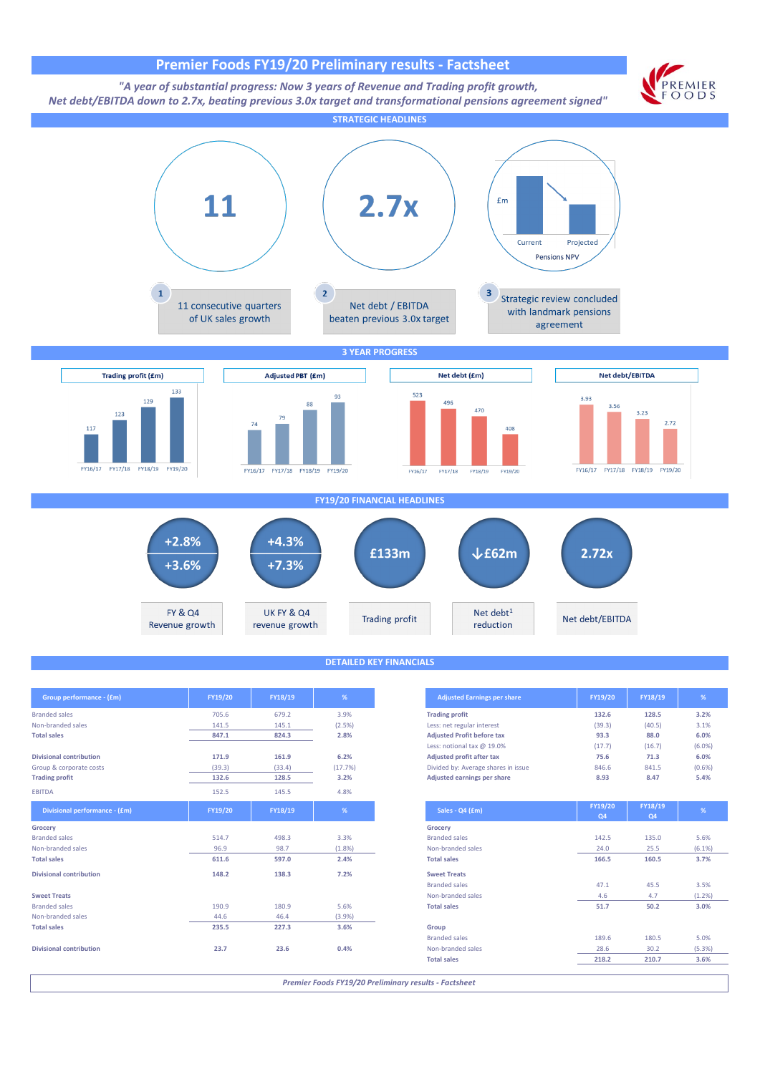## **Premier Foods FY19/20 Preliminary results - Factsheet**



*Premier Foods FY19/20 Preliminary results - Factsheet*

**Divisional contribution 23.7 23.6 0.4%** Non-branded sales 28.6 30.2 (5.3%)

Product sales 189.6 180.5 5.0%<br>
Non-branded sales 189.6 28.6 30.2 (5.3%)

**Total sales 218.2 210.7 3.6%**